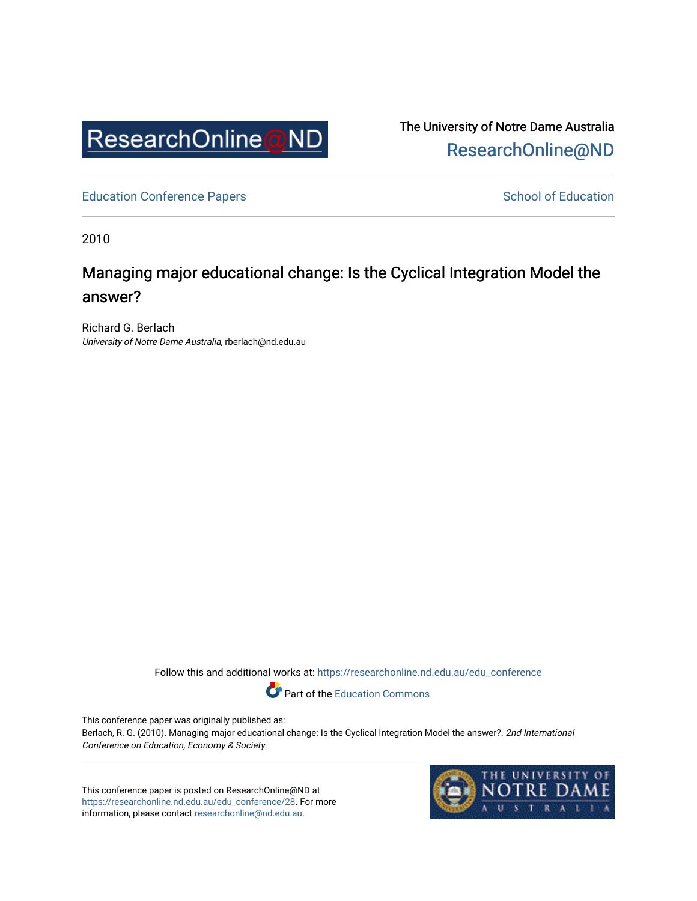

The University of Notre Dame Australia [ResearchOnline@ND](https://researchonline.nd.edu.au/) 

[Education Conference Papers](https://researchonline.nd.edu.au/edu_conference) **School of Education** School of Education

2010

# Managing major educational change: Is the Cyclical Integration Model the answer?

Richard G. Berlach University of Notre Dame Australia, rberlach@nd.edu.au

Follow this and additional works at: [https://researchonline.nd.edu.au/edu\\_conference](https://researchonline.nd.edu.au/edu_conference?utm_source=researchonline.nd.edu.au%2Fedu_conference%2F28&utm_medium=PDF&utm_campaign=PDFCoverPages)

Part of the [Education Commons](http://network.bepress.com/hgg/discipline/784?utm_source=researchonline.nd.edu.au%2Fedu_conference%2F28&utm_medium=PDF&utm_campaign=PDFCoverPages) 

This conference paper was originally published as:

Berlach, R. G. (2010). Managing major educational change: Is the Cyclical Integration Model the answer?. 2nd International Conference on Education, Economy & Society.

This conference paper is posted on ResearchOnline@ND at [https://researchonline.nd.edu.au/edu\\_conference/28.](https://researchonline.nd.edu.au/edu_conference/28) For more information, please contact [researchonline@nd.edu.au.](mailto:researchonline@nd.edu.au)

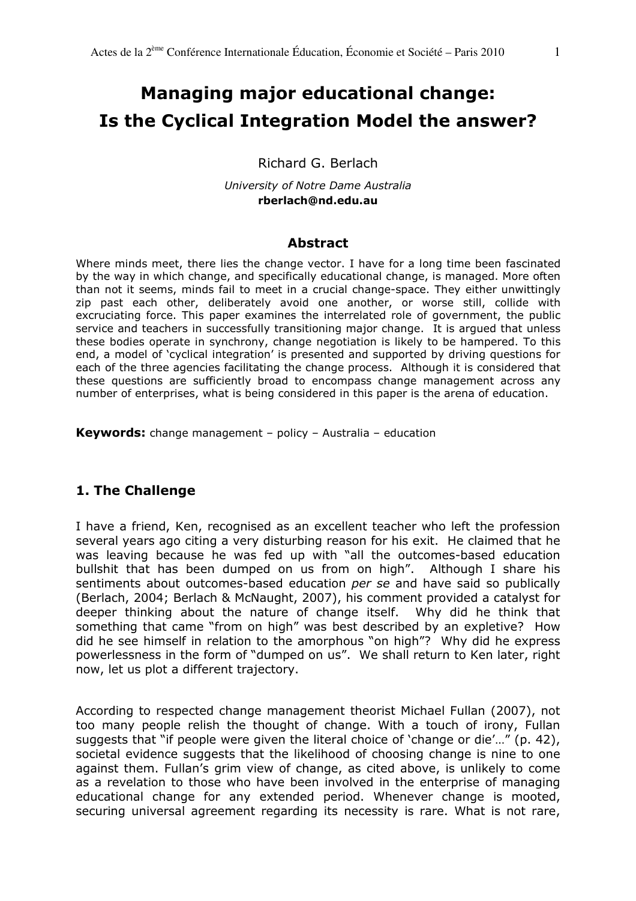# Managing major educational change: Is the Cyclical Integration Model the answer?

Richard G. Berlach

University of Notre Dame Australia rberlach@nd.edu.au

#### Abstract

Where minds meet, there lies the change vector. I have for a long time been fascinated by the way in which change, and specifically educational change, is managed. More often than not it seems, minds fail to meet in a crucial change-space. They either unwittingly zip past each other, deliberately avoid one another, or worse still, collide with excruciating force. This paper examines the interrelated role of government, the public service and teachers in successfully transitioning major change. It is argued that unless these bodies operate in synchrony, change negotiation is likely to be hampered. To this end, a model of 'cyclical integration' is presented and supported by driving questions for each of the three agencies facilitating the change process. Although it is considered that these questions are sufficiently broad to encompass change management across any number of enterprises, what is being considered in this paper is the arena of education.

Keywords: change management – policy – Australia – education

# 1. The Challenge

I have a friend, Ken, recognised as an excellent teacher who left the profession several years ago citing a very disturbing reason for his exit. He claimed that he was leaving because he was fed up with "all the outcomes-based education bullshit that has been dumped on us from on high". Although I share his sentiments about outcomes-based education per se and have said so publically (Berlach, 2004; Berlach & McNaught, 2007), his comment provided a catalyst for deeper thinking about the nature of change itself. Why did he think that something that came "from on high" was best described by an expletive? How did he see himself in relation to the amorphous "on high"? Why did he express powerlessness in the form of "dumped on us". We shall return to Ken later, right now, let us plot a different trajectory.

According to respected change management theorist Michael Fullan (2007), not too many people relish the thought of change. With a touch of irony, Fullan suggests that "if people were given the literal choice of 'change or die'…" (p. 42), societal evidence suggests that the likelihood of choosing change is nine to one against them. Fullan's grim view of change, as cited above, is unlikely to come as a revelation to those who have been involved in the enterprise of managing educational change for any extended period. Whenever change is mooted, securing universal agreement regarding its necessity is rare. What is not rare,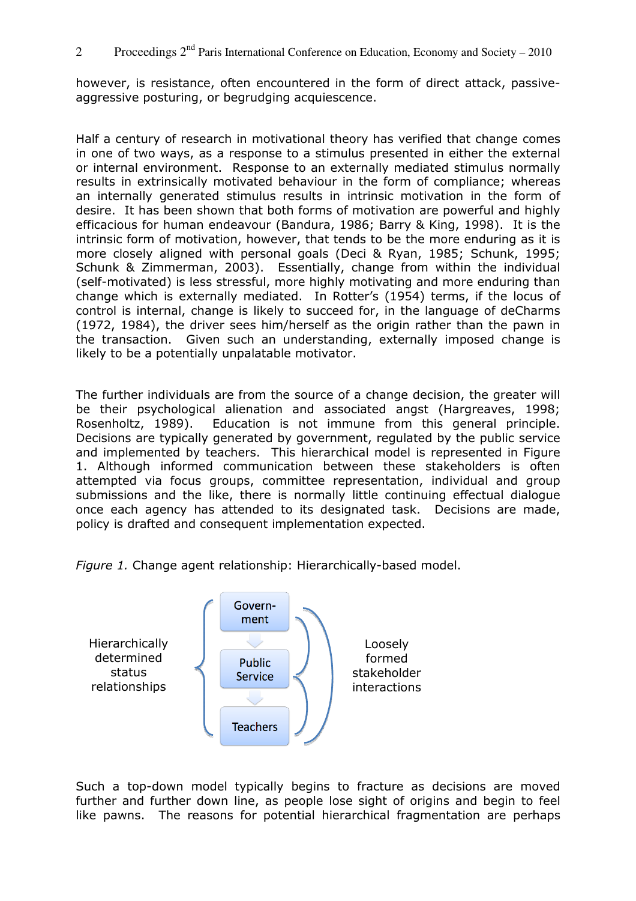however, is resistance, often encountered in the form of direct attack, passiveaggressive posturing, or begrudging acquiescence.

Half a century of research in motivational theory has verified that change comes in one of two ways, as a response to a stimulus presented in either the external or internal environment. Response to an externally mediated stimulus normally results in extrinsically motivated behaviour in the form of compliance; whereas an internally generated stimulus results in intrinsic motivation in the form of desire. It has been shown that both forms of motivation are powerful and highly efficacious for human endeavour (Bandura, 1986; Barry & King, 1998). It is the intrinsic form of motivation, however, that tends to be the more enduring as it is more closely aligned with personal goals (Deci & Ryan, 1985; Schunk, 1995; Schunk & Zimmerman, 2003). Essentially, change from within the individual (self-motivated) is less stressful, more highly motivating and more enduring than change which is externally mediated. In Rotter's (1954) terms, if the locus of control is internal, change is likely to succeed for, in the language of deCharms (1972, 1984), the driver sees him/herself as the origin rather than the pawn in the transaction. Given such an understanding, externally imposed change is likely to be a potentially unpalatable motivator.

The further individuals are from the source of a change decision, the greater will be their psychological alienation and associated angst (Hargreaves, 1998; Rosenholtz, 1989). Education is not immune from this general principle. Decisions are typically generated by government, regulated by the public service and implemented by teachers. This hierarchical model is represented in Figure 1. Although informed communication between these stakeholders is often attempted via focus groups, committee representation, individual and group submissions and the like, there is normally little continuing effectual dialogue once each agency has attended to its designated task. Decisions are made, policy is drafted and consequent implementation expected.





Such a top-down model typically begins to fracture as decisions are moved further and further down line, as people lose sight of origins and begin to feel like pawns. The reasons for potential hierarchical fragmentation are perhaps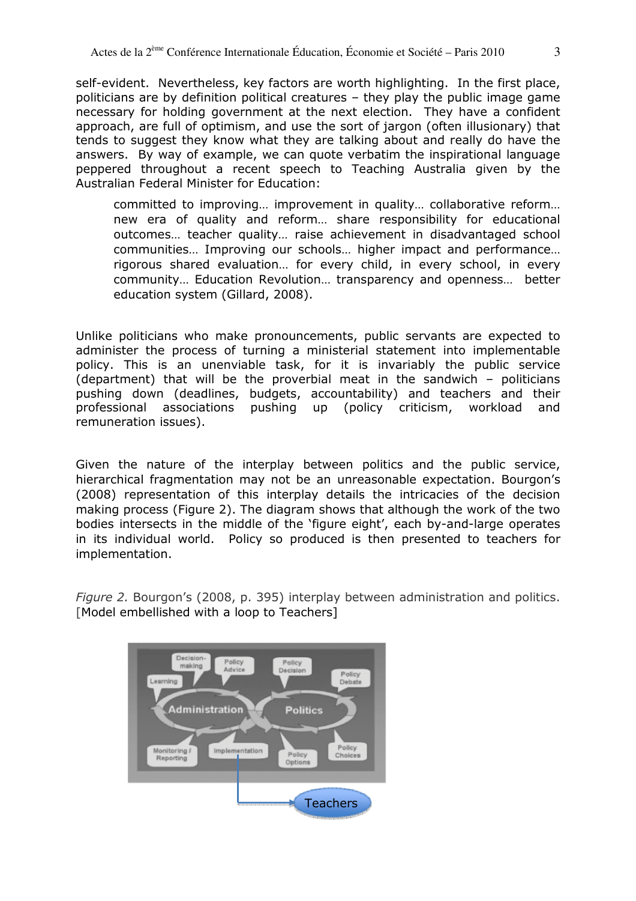self-evident. Nevertheless, key factors are worth highlighting. In the first place, politicians are by definition political creatures – they play the public image game necessary for holding government at the next election. They have a confident approach, are full of optimism, and use the sort of jargon (often illusionary) that tends to suggest they know what they are talking about and really do have the answers. By way of example, we can quote verbatim the inspirational language peppered throughout a recent speech to Teaching Australia given by the Australian Federal Minister for Education:

committed to improving… improvement in quality… collaborative reform… new era of quality and reform… share responsibility for educational outcomes… teacher quality… raise achievement in disadvantaged school communities… Improving our schools… higher impact and performance… rigorous shared evaluation… for every child, in every school, in every community… Education Revolution… transparency and openness… better education system (Gillard, 2008).

Unlike politicians who make pronouncements, public servants are expected to administer the process of turning a ministerial statement into implementable policy. This is an unenviable task, for it is invariably the public service (department) that will be the proverbial meat in the sandwich – politicians pushing down (deadlines, budgets, accountability) and teachers and their professional associations pushing up (policy criticism, workload and remuneration issues).

Given the nature of the interplay between politics and the public service, hierarchical fragmentation may not be an unreasonable expectation. Bourgon's (2008) representation of this interplay details the intricacies of the decision making process (Figure 2). The diagram shows that although the work of the two bodies intersects in the middle of the 'figure eight', each by-and-large operates in its individual world. Policy so produced is then presented to teachers for implementation.

Figure 2. Bourgon's (2008, p. 395) interplay between administration and politics. [Model embellished with a loop to Teachers]

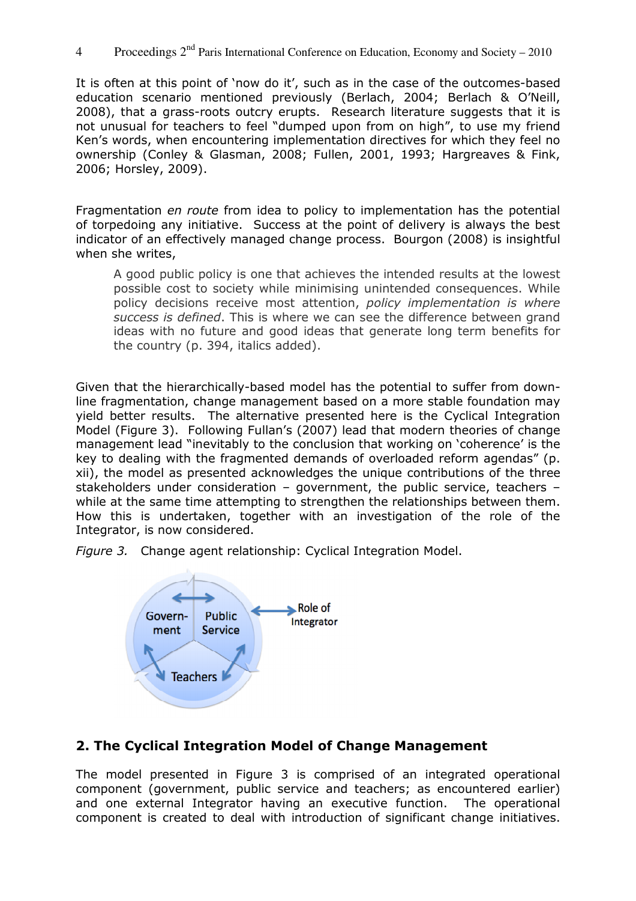4 Proceedings  $2<sup>nd</sup>$  Paris International Conference on Education, Economy and Society – 2010

It is often at this point of 'now do it', such as in the case of the outcomes-based education scenario mentioned previously (Berlach, 2004; Berlach & O'Neill, 2008), that a grass-roots outcry erupts. Research literature suggests that it is not unusual for teachers to feel "dumped upon from on high", to use my friend Ken's words, when encountering implementation directives for which they feel no ownership (Conley & Glasman, 2008; Fullen, 2001, 1993; Hargreaves & Fink, 2006; Horsley, 2009).

Fragmentation en route from idea to policy to implementation has the potential of torpedoing any initiative. Success at the point of delivery is always the best indicator of an effectively managed change process. Bourgon (2008) is insightful when she writes,

A good public policy is one that achieves the intended results at the lowest possible cost to society while minimising unintended consequences. While policy decisions receive most attention, policy implementation is where success is defined. This is where we can see the difference between grand ideas with no future and good ideas that generate long term benefits for the country (p. 394, italics added).

Given that the hierarchically-based model has the potential to suffer from downline fragmentation, change management based on a more stable foundation may yield better results. The alternative presented here is the Cyclical Integration Model (Figure 3). Following Fullan's (2007) lead that modern theories of change management lead "inevitably to the conclusion that working on 'coherence' is the key to dealing with the fragmented demands of overloaded reform agendas" (p. xii), the model as presented acknowledges the unique contributions of the three stakeholders under consideration – government, the public service, teachers – while at the same time attempting to strengthen the relationships between them. How this is undertaken, together with an investigation of the role of the Integrator, is now considered.

Figure 3. Change agent relationship: Cyclical Integration Model.



# 2. The Cyclical Integration Model of Change Management

The model presented in Figure 3 is comprised of an integrated operational component (government, public service and teachers; as encountered earlier) and one external Integrator having an executive function. The operational component is created to deal with introduction of significant change initiatives.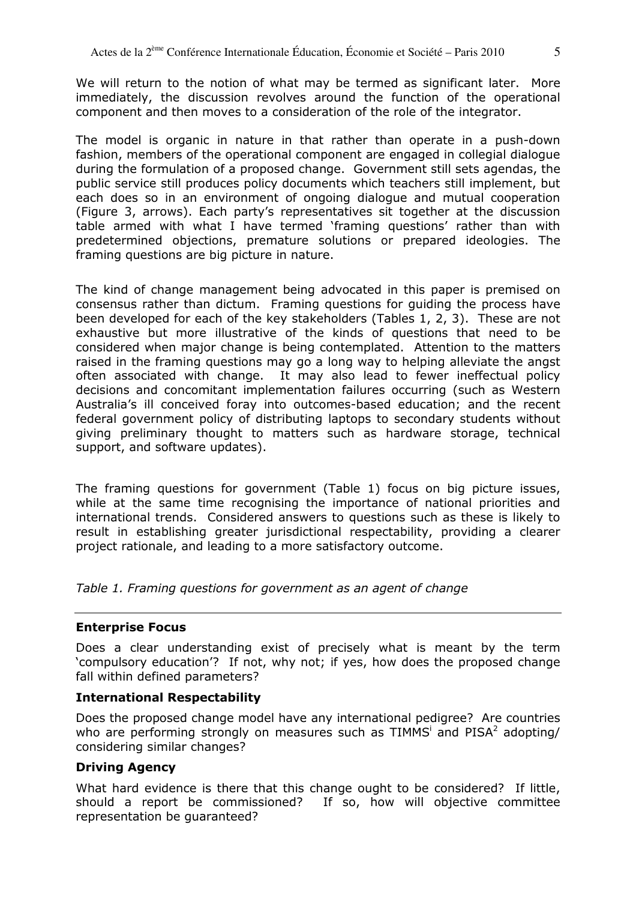We will return to the notion of what may be termed as significant later. More immediately, the discussion revolves around the function of the operational component and then moves to a consideration of the role of the integrator.

The model is organic in nature in that rather than operate in a push-down fashion, members of the operational component are engaged in collegial dialogue during the formulation of a proposed change. Government still sets agendas, the public service still produces policy documents which teachers still implement, but each does so in an environment of ongoing dialogue and mutual cooperation (Figure 3, arrows). Each party's representatives sit together at the discussion table armed with what I have termed 'framing questions' rather than with predetermined objections, premature solutions or prepared ideologies. The framing questions are big picture in nature.

The kind of change management being advocated in this paper is premised on consensus rather than dictum. Framing questions for guiding the process have been developed for each of the key stakeholders (Tables 1, 2, 3). These are not exhaustive but more illustrative of the kinds of questions that need to be considered when major change is being contemplated. Attention to the matters raised in the framing questions may go a long way to helping alleviate the angst often associated with change. It may also lead to fewer ineffectual policy decisions and concomitant implementation failures occurring (such as Western Australia's ill conceived foray into outcomes-based education; and the recent federal government policy of distributing laptops to secondary students without giving preliminary thought to matters such as hardware storage, technical support, and software updates).

The framing questions for government (Table 1) focus on big picture issues, while at the same time recognising the importance of national priorities and international trends. Considered answers to questions such as these is likely to result in establishing greater jurisdictional respectability, providing a clearer project rationale, and leading to a more satisfactory outcome.

Table 1. Framing questions for government as an agent of change

# Enterprise Focus

Does a clear understanding exist of precisely what is meant by the term 'compulsory education'? If not, why not; if yes, how does the proposed change fall within defined parameters?

# International Respectability

Does the proposed change model have any international pedigree? Are countries who are performing strongly on measures such as TIMMS<sup>i</sup> and PISA<sup>2</sup> adopting/ considering similar changes?

# Driving Agency

What hard evidence is there that this change ought to be considered? If little, should a report be commissioned? If so, how will objective committee representation be guaranteed?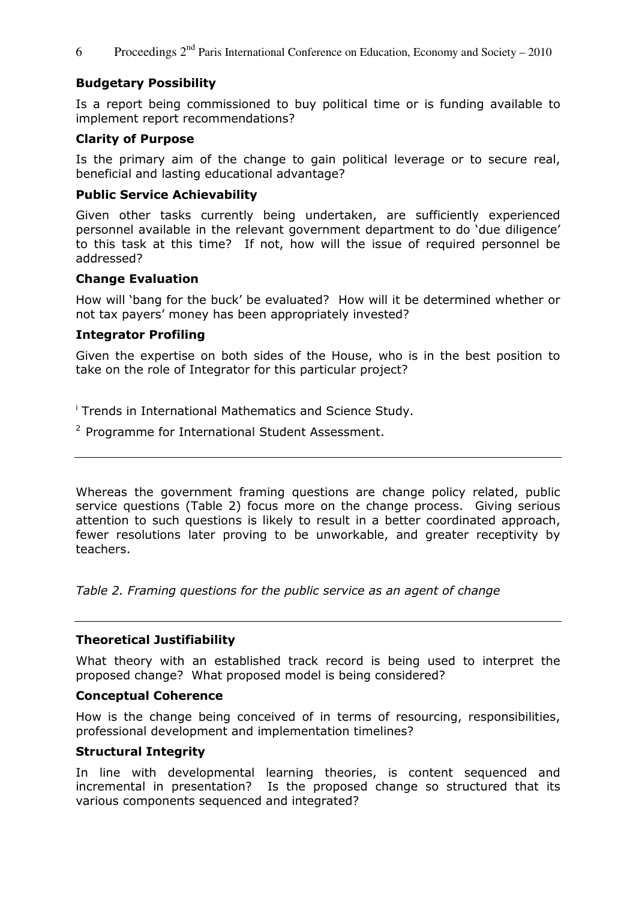6 Proceedings  $2<sup>nd</sup>$  Paris International Conference on Education, Economy and Society – 2010

# Budgetary Possibility

Is a report being commissioned to buy political time or is funding available to implement report recommendations?

#### Clarity of Purpose

Is the primary aim of the change to gain political leverage or to secure real, beneficial and lasting educational advantage?

#### Public Service Achievability

Given other tasks currently being undertaken, are sufficiently experienced personnel available in the relevant government department to do 'due diligence' to this task at this time? If not, how will the issue of required personnel be addressed?

#### Change Evaluation

How will 'bang for the buck' be evaluated? How will it be determined whether or not tax payers' money has been appropriately invested?

#### Integrator Profiling

Given the expertise on both sides of the House, who is in the best position to take on the role of Integrator for this particular project?

i Trends in International Mathematics and Science Study.

 $2$  Programme for International Student Assessment.

Whereas the government framing questions are change policy related, public service questions (Table 2) focus more on the change process. Giving serious attention to such questions is likely to result in a better coordinated approach, fewer resolutions later proving to be unworkable, and greater receptivity by teachers.

Table 2. Framing questions for the public service as an agent of change

# Theoretical Justifiability

What theory with an established track record is being used to interpret the proposed change? What proposed model is being considered?

#### Conceptual Coherence

How is the change being conceived of in terms of resourcing, responsibilities, professional development and implementation timelines?

#### Structural Integrity

In line with developmental learning theories, is content sequenced and incremental in presentation? Is the proposed change so structured that its various components sequenced and integrated?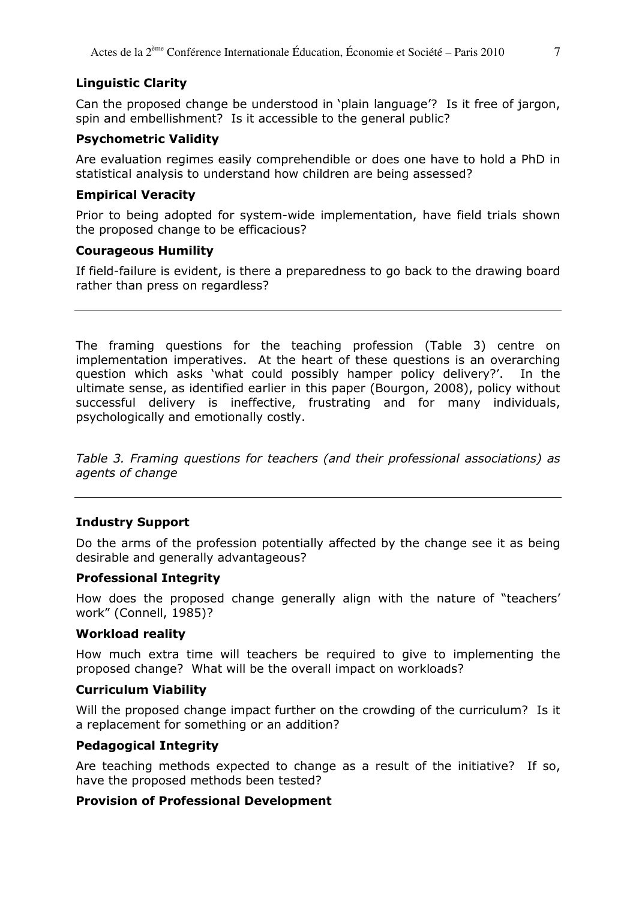#### Linguistic Clarity

Can the proposed change be understood in 'plain language'? Is it free of jargon, spin and embellishment? Is it accessible to the general public?

#### Psychometric Validity

Are evaluation regimes easily comprehendible or does one have to hold a PhD in statistical analysis to understand how children are being assessed?

#### Empirical Veracity

Prior to being adopted for system-wide implementation, have field trials shown the proposed change to be efficacious?

#### Courageous Humility

If field-failure is evident, is there a preparedness to go back to the drawing board rather than press on regardless?

The framing questions for the teaching profession (Table 3) centre on implementation imperatives. At the heart of these questions is an overarching question which asks 'what could possibly hamper policy delivery?'. In the ultimate sense, as identified earlier in this paper (Bourgon, 2008), policy without successful delivery is ineffective, frustrating and for many individuals, psychologically and emotionally costly.

Table 3. Framing questions for teachers (and their professional associations) as agents of change

# Industry Support

Do the arms of the profession potentially affected by the change see it as being desirable and generally advantageous?

#### Professional Integrity

How does the proposed change generally align with the nature of "teachers' work" (Connell, 1985)?

#### Workload reality

How much extra time will teachers be required to give to implementing the proposed change? What will be the overall impact on workloads?

#### Curriculum Viability

Will the proposed change impact further on the crowding of the curriculum? Is it a replacement for something or an addition?

#### Pedagogical Integrity

Are teaching methods expected to change as a result of the initiative? If so, have the proposed methods been tested?

#### Provision of Professional Development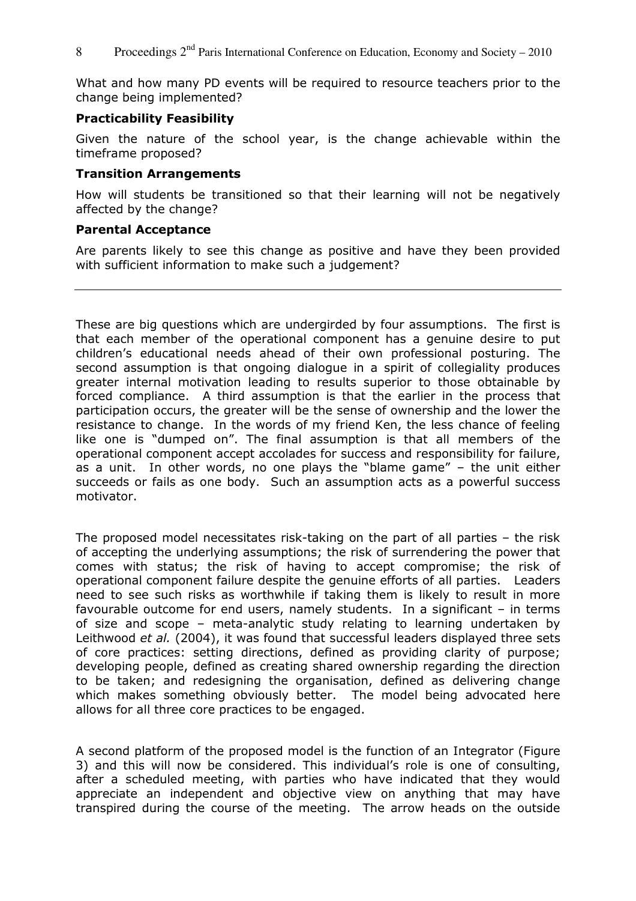What and how many PD events will be required to resource teachers prior to the change being implemented?

#### Practicability Feasibility

Given the nature of the school year, is the change achievable within the timeframe proposed?

#### Transition Arrangements

How will students be transitioned so that their learning will not be negatively affected by the change?

#### Parental Acceptance

Are parents likely to see this change as positive and have they been provided with sufficient information to make such a judgement?

These are big questions which are undergirded by four assumptions. The first is that each member of the operational component has a genuine desire to put children's educational needs ahead of their own professional posturing. The second assumption is that ongoing dialogue in a spirit of collegiality produces greater internal motivation leading to results superior to those obtainable by forced compliance. A third assumption is that the earlier in the process that participation occurs, the greater will be the sense of ownership and the lower the resistance to change. In the words of my friend Ken, the less chance of feeling like one is "dumped on". The final assumption is that all members of the operational component accept accolades for success and responsibility for failure, as a unit. In other words, no one plays the "blame game" – the unit either succeeds or fails as one body. Such an assumption acts as a powerful success motivator.

The proposed model necessitates risk-taking on the part of all parties – the risk of accepting the underlying assumptions; the risk of surrendering the power that comes with status; the risk of having to accept compromise; the risk of operational component failure despite the genuine efforts of all parties. Leaders need to see such risks as worthwhile if taking them is likely to result in more favourable outcome for end users, namely students. In a significant – in terms of size and scope – meta-analytic study relating to learning undertaken by Leithwood et al. (2004), it was found that successful leaders displayed three sets of core practices: setting directions, defined as providing clarity of purpose; developing people, defined as creating shared ownership regarding the direction to be taken; and redesigning the organisation, defined as delivering change which makes something obviously better. The model being advocated here allows for all three core practices to be engaged.

A second platform of the proposed model is the function of an Integrator (Figure 3) and this will now be considered. This individual's role is one of consulting, after a scheduled meeting, with parties who have indicated that they would appreciate an independent and objective view on anything that may have transpired during the course of the meeting. The arrow heads on the outside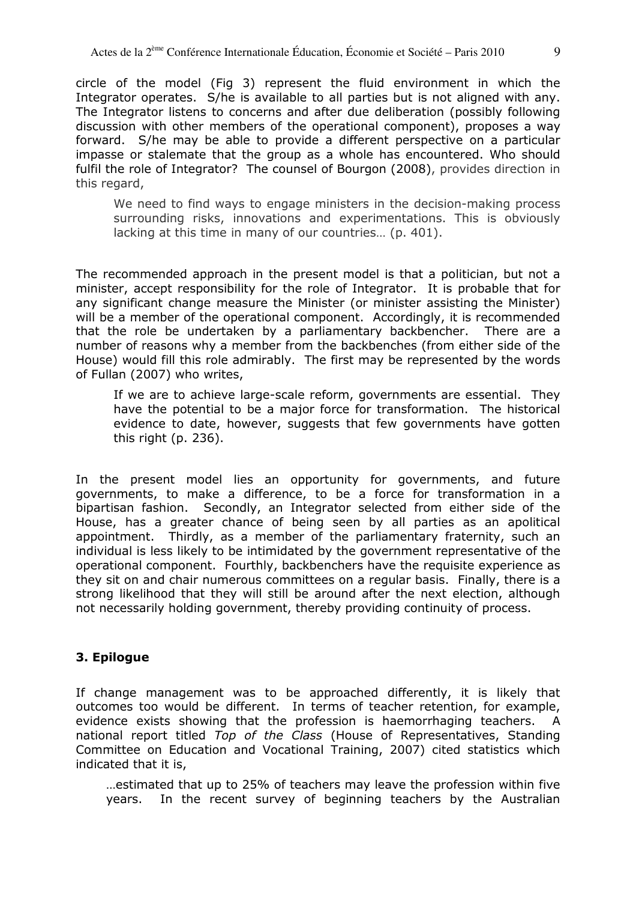circle of the model (Fig 3) represent the fluid environment in which the Integrator operates. S/he is available to all parties but is not aligned with any. The Integrator listens to concerns and after due deliberation (possibly following discussion with other members of the operational component), proposes a way forward. S/he may be able to provide a different perspective on a particular impasse or stalemate that the group as a whole has encountered. Who should fulfil the role of Integrator? The counsel of Bourgon (2008), provides direction in this regard,

We need to find ways to engage ministers in the decision-making process surrounding risks, innovations and experimentations. This is obviously lacking at this time in many of our countries… (p. 401).

The recommended approach in the present model is that a politician, but not a minister, accept responsibility for the role of Integrator. It is probable that for any significant change measure the Minister (or minister assisting the Minister) will be a member of the operational component. Accordingly, it is recommended that the role be undertaken by a parliamentary backbencher. There are a number of reasons why a member from the backbenches (from either side of the House) would fill this role admirably. The first may be represented by the words of Fullan (2007) who writes,

If we are to achieve large-scale reform, governments are essential. They have the potential to be a major force for transformation. The historical evidence to date, however, suggests that few governments have gotten this right (p. 236).

In the present model lies an opportunity for governments, and future governments, to make a difference, to be a force for transformation in a bipartisan fashion. Secondly, an Integrator selected from either side of the House, has a greater chance of being seen by all parties as an apolitical appointment. Thirdly, as a member of the parliamentary fraternity, such an individual is less likely to be intimidated by the government representative of the operational component. Fourthly, backbenchers have the requisite experience as they sit on and chair numerous committees on a regular basis. Finally, there is a strong likelihood that they will still be around after the next election, although not necessarily holding government, thereby providing continuity of process.

# 3. Epilogue

If change management was to be approached differently, it is likely that outcomes too would be different. In terms of teacher retention, for example, evidence exists showing that the profession is haemorrhaging teachers. A national report titled Top of the Class (House of Representatives, Standing Committee on Education and Vocational Training, 2007) cited statistics which indicated that it is,

…estimated that up to 25% of teachers may leave the profession within five years. In the recent survey of beginning teachers by the Australian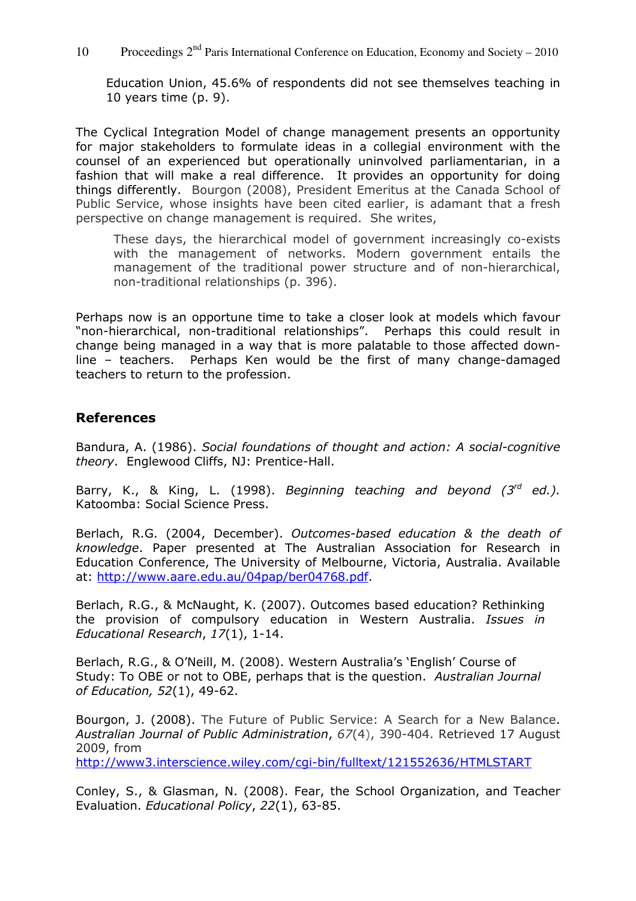10 Proceedings  $2<sup>nd</sup>$  Paris International Conference on Education, Economy and Society – 2010

Education Union, 45.6% of respondents did not see themselves teaching in 10 years time (p. 9).

The Cyclical Integration Model of change management presents an opportunity for major stakeholders to formulate ideas in a collegial environment with the counsel of an experienced but operationally uninvolved parliamentarian, in a fashion that will make a real difference. It provides an opportunity for doing things differently. Bourgon (2008), President Emeritus at the Canada School of Public Service, whose insights have been cited earlier, is adamant that a fresh perspective on change management is required. She writes,

These days, the hierarchical model of government increasingly co-exists with the management of networks. Modern government entails the management of the traditional power structure and of non-hierarchical, non-traditional relationships (p. 396).

Perhaps now is an opportune time to take a closer look at models which favour "non-hierarchical, non-traditional relationships". Perhaps this could result in change being managed in a way that is more palatable to those affected downline – teachers. Perhaps Ken would be the first of many change-damaged teachers to return to the profession.

# References

Bandura, A. (1986). Social foundations of thought and action: A social-cognitive theory. Englewood Cliffs, NJ: Prentice-Hall.

Barry, K., & King, L. (1998). Beginning teaching and beyond  $(3^{rd}$  ed.). Katoomba: Social Science Press.

Berlach, R.G. (2004, December). Outcomes-based education & the death of knowledge. Paper presented at The Australian Association for Research in Education Conference, The University of Melbourne, Victoria, Australia. Available at: http://www.aare.edu.au/04pap/ber04768.pdf.

Berlach, R.G., & McNaught, K. (2007). Outcomes based education? Rethinking the provision of compulsory education in Western Australia. Issues in Educational Research, 17(1), 1-14.

Berlach, R.G., & O'Neill, M. (2008). Western Australia's 'English' Course of Study: To OBE or not to OBE, perhaps that is the question. Australian Journal of Education, 52(1), 49-62.

Bourgon, J. (2008). The Future of Public Service: A Search for a New Balance. Australian Journal of Public Administration, 67(4), 390-404. Retrieved 17 August 2009, from

http://www3.interscience.wiley.com/cgi-bin/fulltext/121552636/HTMLSTART

Conley, S., & Glasman, N. (2008). Fear, the School Organization, and Teacher Evaluation. Educational Policy, 22(1), 63-85.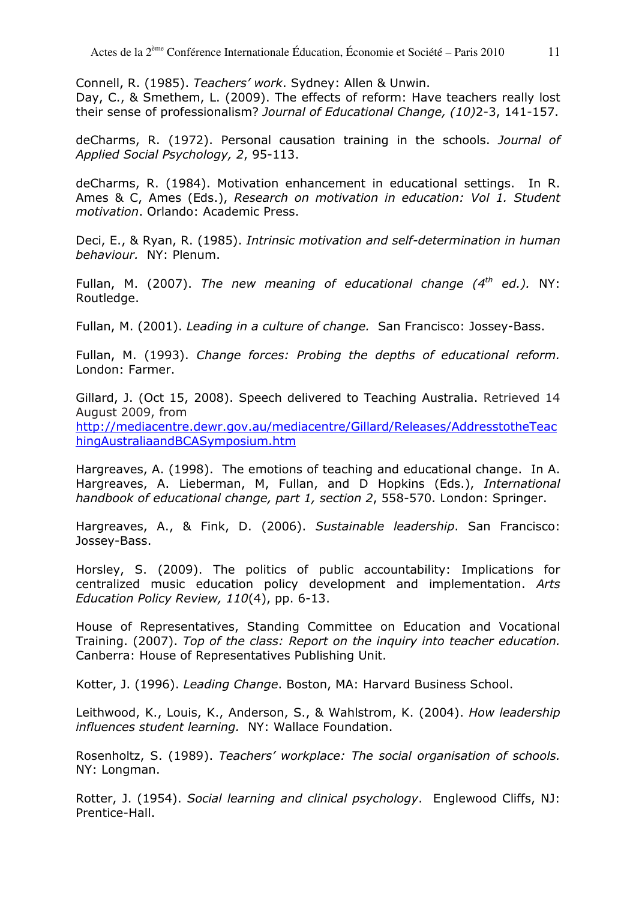Connell, R. (1985). Teachers' work. Sydney: Allen & Unwin.

Day, C., & Smethem, L. (2009). The effects of reform: Have teachers really lost their sense of professionalism? Journal of Educational Change, (10)2-3, 141-157.

deCharms, R. (1972). Personal causation training in the schools. Journal of Applied Social Psychology, 2, 95-113.

deCharms, R. (1984). Motivation enhancement in educational settings. In R. Ames & C, Ames (Eds.), Research on motivation in education: Vol 1. Student motivation. Orlando: Academic Press.

Deci, E., & Ryan, R. (1985). Intrinsic motivation and self-determination in human behaviour. NY: Plenum.

Fullan, M. (2007). The new meaning of educational change  $(4<sup>th</sup>$  ed.). NY: Routledge.

Fullan, M. (2001). Leading in a culture of change. San Francisco: Jossey-Bass.

Fullan, M. (1993). Change forces: Probing the depths of educational reform. London: Farmer.

Gillard, J. (Oct 15, 2008). Speech delivered to Teaching Australia. Retrieved 14 August 2009, from

http://mediacentre.dewr.gov.au/mediacentre/Gillard/Releases/AddresstotheTeac hingAustraliaandBCASymposium.htm

Hargreaves, A. (1998). The emotions of teaching and educational change. In A. Hargreaves, A. Lieberman, M, Fullan, and D Hopkins (Eds.), International handbook of educational change, part 1, section 2, 558-570. London: Springer.

Hargreaves, A., & Fink, D. (2006). Sustainable leadership. San Francisco: Jossey-Bass.

Horsley, S. (2009). The politics of public accountability: Implications for centralized music education policy development and implementation. Arts Education Policy Review, 110(4), pp. 6-13.

House of Representatives, Standing Committee on Education and Vocational Training. (2007). Top of the class: Report on the inquiry into teacher education. Canberra: House of Representatives Publishing Unit.

Kotter, J. (1996). Leading Change. Boston, MA: Harvard Business School.

Leithwood, K., Louis, K., Anderson, S., & Wahlstrom, K. (2004). How leadership influences student learning. NY: Wallace Foundation.

Rosenholtz, S. (1989). Teachers' workplace: The social organisation of schools. NY: Longman.

Rotter, J. (1954). Social learning and clinical psychology. Englewood Cliffs, NJ: Prentice-Hall.